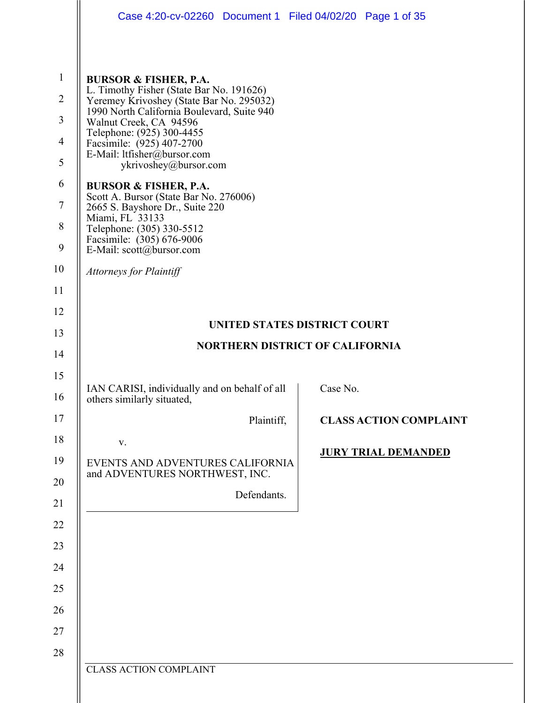|                | Case 4:20-cv-02260 Document 1 Filed 04/02/20 Page 1 of 35                              |                               |  |  |  |  |
|----------------|----------------------------------------------------------------------------------------|-------------------------------|--|--|--|--|
|                |                                                                                        |                               |  |  |  |  |
| $\mathbf{1}$   | <b>BURSOR &amp; FISHER, P.A.</b><br>L. Timothy Fisher (State Bar No. 191626)           |                               |  |  |  |  |
| $\overline{2}$ | Yeremey Krivoshey (State Bar No. 295032)<br>1990 North California Boulevard, Suite 940 |                               |  |  |  |  |
| $\mathfrak{Z}$ | Walnut Creek, CA 94596<br>Telephone: (925) 300-4455                                    |                               |  |  |  |  |
| $\overline{4}$ | Facsimile: (925) 407-2700<br>E-Mail: ltfisher@bursor.com                               |                               |  |  |  |  |
| 5              | ykrivoshey@bursor.com                                                                  |                               |  |  |  |  |
| 6              | <b>BURSOR &amp; FISHER, P.A.</b><br>Scott A. Bursor (State Bar No. 276006)             |                               |  |  |  |  |
| $\tau$         | 2665 S. Bayshore Dr., Suite 220<br>Miami, FL 33133                                     |                               |  |  |  |  |
| 8              | Telephone: (305) 330-5512<br>Facsimile: (305) 676-9006                                 |                               |  |  |  |  |
| 9              | E-Mail: scott@bursor.com                                                               |                               |  |  |  |  |
| 10             | <b>Attorneys for Plaintiff</b>                                                         |                               |  |  |  |  |
| 11             |                                                                                        |                               |  |  |  |  |
| 12             | UNITED STATES DISTRICT COURT                                                           |                               |  |  |  |  |
| 13             |                                                                                        |                               |  |  |  |  |
| 14             | <b>NORTHERN DISTRICT OF CALIFORNIA</b>                                                 |                               |  |  |  |  |
|                |                                                                                        |                               |  |  |  |  |
| 15             |                                                                                        |                               |  |  |  |  |
| 16             | IAN CARISI, individually and on behalf of all<br>others similarly situated,            | Case No.                      |  |  |  |  |
| 17             | Plaintiff,                                                                             | <b>CLASS ACTION COMPLAINT</b> |  |  |  |  |
| 18             | V.                                                                                     |                               |  |  |  |  |
| 19             | EVENTS AND ADVENTURES CALIFORNIA                                                       | <b>JURY TRIAL DEMANDED</b>    |  |  |  |  |
| 20             | and ADVENTURES NORTHWEST, INC.                                                         |                               |  |  |  |  |
| 21             | Defendants.                                                                            |                               |  |  |  |  |
| 22             |                                                                                        |                               |  |  |  |  |
| 23             |                                                                                        |                               |  |  |  |  |
| 24             |                                                                                        |                               |  |  |  |  |
| 25             |                                                                                        |                               |  |  |  |  |
| 26             |                                                                                        |                               |  |  |  |  |
| 27             |                                                                                        |                               |  |  |  |  |
| 28             |                                                                                        |                               |  |  |  |  |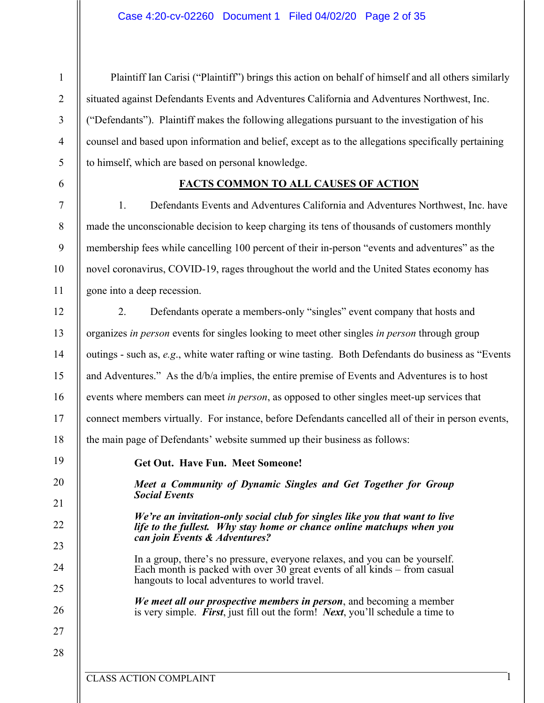Plaintiff Ian Carisi ("Plaintiff") brings this action on behalf of himself and all others similarly situated against Defendants Events and Adventures California and Adventures Northwest, Inc. ("Defendants"). Plaintiff makes the following allegations pursuant to the investigation of his counsel and based upon information and belief, except as to the allegations specifically pertaining to himself, which are based on personal knowledge.

## **FACTS COMMON TO ALL CAUSES OF ACTION**

1. Defendants Events and Adventures California and Adventures Northwest, Inc. have made the unconscionable decision to keep charging its tens of thousands of customers monthly membership fees while cancelling 100 percent of their in-person "events and adventures" as the novel coronavirus, COVID-19, rages throughout the world and the United States economy has gone into a deep recession.

2. Defendants operate a members-only "singles" event company that hosts and organizes *in person* events for singles looking to meet other singles *in person* through group outings - such as, *e.g*., white water rafting or wine tasting. Both Defendants do business as "Events and Adventures." As the d/b/a implies, the entire premise of Events and Adventures is to host events where members can meet *in person*, as opposed to other singles meet-up services that connect members virtually. For instance, before Defendants cancelled all of their in person events, the main page of Defendants' website summed up their business as follows:

19 20

21

22

23

24

25

26

27

28

1

2

3

4

5

6

7

8

9

10

11

12

13

14

15

16

17

18

**Get Out. Have Fun. Meet Someone!**

*Meet a Community of Dynamic Singles and Get Together for Group Social Events*

*We're an invitation-only social club for singles like you that want to live life to the fullest. Why stay home or chance online matchups when you can join Events & Adventures?*

In a group, there's no pressure, everyone relaxes, and you can be yourself. Each month is packed with over 30 great events of all kinds – from casual hangouts to local adventures to world travel.

*We meet all our prospective members in person*, and becoming a member is very simple. *First*, just fill out the form! *Next*, you'll schedule a time to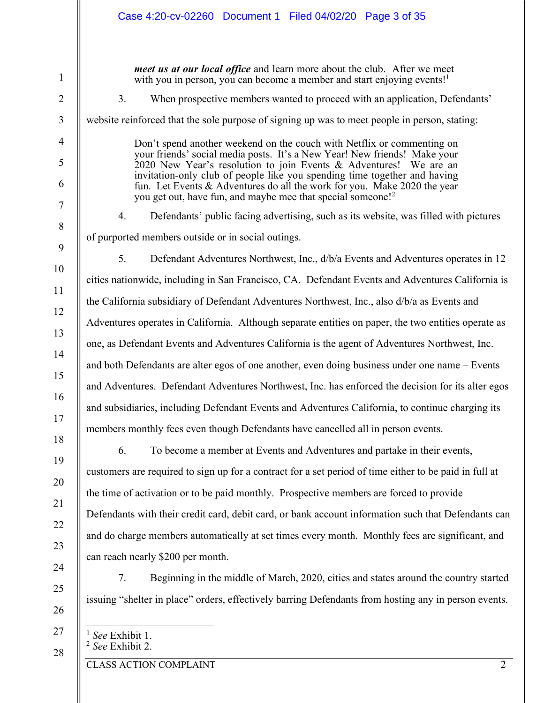| Case 4:20-cv-02260 Document 1 Filed 04/02/20 Page 3 of 35                                                                                                                                                                                                                                                                                                                                                                                                    |  |  |  |  |
|--------------------------------------------------------------------------------------------------------------------------------------------------------------------------------------------------------------------------------------------------------------------------------------------------------------------------------------------------------------------------------------------------------------------------------------------------------------|--|--|--|--|
| <i>meet us at our local office</i> and learn more about the club. After we meet<br>with you in person, you can become a member and start enjoying events! <sup>1</sup>                                                                                                                                                                                                                                                                                       |  |  |  |  |
| 3.<br>When prospective members wanted to proceed with an application, Defendants'                                                                                                                                                                                                                                                                                                                                                                            |  |  |  |  |
| website reinforced that the sole purpose of signing up was to meet people in person, stating:                                                                                                                                                                                                                                                                                                                                                                |  |  |  |  |
| Don't spend another weekend on the couch with Netflix or commenting on<br>your friends' social media posts. It's a New Year! New friends! Make your<br>2020 New Year's resolution to join Events & Adventures! We are an<br>invitation-only club of people like you spending time together and having<br>fun. Let Events & Adventures do all the work for you. Make 2020 the year<br>you get out, have fun, and maybe mee that special someone! <sup>2</sup> |  |  |  |  |
| Defendants' public facing advertising, such as its website, was filled with pictures<br>4.                                                                                                                                                                                                                                                                                                                                                                   |  |  |  |  |
| of purported members outside or in social outings.                                                                                                                                                                                                                                                                                                                                                                                                           |  |  |  |  |
| 5.<br>Defendant Adventures Northwest, Inc., d/b/a Events and Adventures operates in 12                                                                                                                                                                                                                                                                                                                                                                       |  |  |  |  |
| cities nationwide, including in San Francisco, CA. Defendant Events and Adventures California is                                                                                                                                                                                                                                                                                                                                                             |  |  |  |  |
| the California subsidiary of Defendant Adventures Northwest, Inc., also d/b/a as Events and                                                                                                                                                                                                                                                                                                                                                                  |  |  |  |  |
| Adventures operates in California. Although separate entities on paper, the two entities operate as                                                                                                                                                                                                                                                                                                                                                          |  |  |  |  |
| one, as Defendant Events and Adventures California is the agent of Adventures Northwest, Inc.                                                                                                                                                                                                                                                                                                                                                                |  |  |  |  |
| and both Defendants are alter egos of one another, even doing business under one name – Events                                                                                                                                                                                                                                                                                                                                                               |  |  |  |  |
| and Adventures. Defendant Adventures Northwest, Inc. has enforced the decision for its alter egos                                                                                                                                                                                                                                                                                                                                                            |  |  |  |  |
| and subsidiaries, including Defendant Events and Adventures California, to continue charging its                                                                                                                                                                                                                                                                                                                                                             |  |  |  |  |
| members monthly fees even though Defendants have cancelled all in person events.                                                                                                                                                                                                                                                                                                                                                                             |  |  |  |  |
| 6.<br>To become a member at Events and Adventures and partake in their events,                                                                                                                                                                                                                                                                                                                                                                               |  |  |  |  |
| customers are required to sign up for a contract for a set period of time either to be paid in full at                                                                                                                                                                                                                                                                                                                                                       |  |  |  |  |
| the time of activation or to be paid monthly. Prospective members are forced to provide                                                                                                                                                                                                                                                                                                                                                                      |  |  |  |  |
| Defendants with their credit card, debit card, or bank account information such that Defendants can                                                                                                                                                                                                                                                                                                                                                          |  |  |  |  |
| and do charge members automatically at set times every month. Monthly fees are significant, and                                                                                                                                                                                                                                                                                                                                                              |  |  |  |  |
| can reach nearly \$200 per month.                                                                                                                                                                                                                                                                                                                                                                                                                            |  |  |  |  |
| 7.<br>Beginning in the middle of March, 2020, cities and states around the country started                                                                                                                                                                                                                                                                                                                                                                   |  |  |  |  |
| issuing "shelter in place" orders, effectively barring Defendants from hosting any in person events.                                                                                                                                                                                                                                                                                                                                                         |  |  |  |  |

| $\left\  \begin{array}{c} 1 \text{ See Exhibit 1.} \\ 2 \text{ See Exhibit 2.} \end{array} \right.$ |
|-----------------------------------------------------------------------------------------------------|
|                                                                                                     |

CLASS ACTION COMPLAINT 2

28

1

2

3

4

5

6

7

8

9

10

11

12

13

14

15

16

17

18

19

20

21

22

23

24

25

26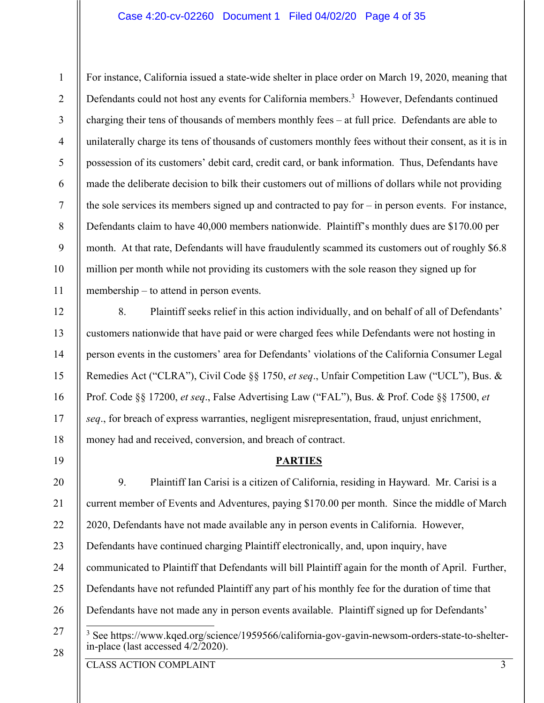#### Case 4:20-cv-02260 Document 1 Filed 04/02/20 Page 4 of 35

1 2 3 4 5 6 7 8 9 10 11 For instance, California issued a state-wide shelter in place order on March 19, 2020, meaning that Defendants could not host any events for California members.<sup>3</sup> However, Defendants continued charging their tens of thousands of members monthly fees – at full price. Defendants are able to unilaterally charge its tens of thousands of customers monthly fees without their consent, as it is in possession of its customers' debit card, credit card, or bank information. Thus, Defendants have made the deliberate decision to bilk their customers out of millions of dollars while not providing the sole services its members signed up and contracted to pay for – in person events. For instance, Defendants claim to have 40,000 members nationwide. Plaintiff's monthly dues are \$170.00 per month. At that rate, Defendants will have fraudulently scammed its customers out of roughly \$6.8 million per month while not providing its customers with the sole reason they signed up for membership – to attend in person events.

8. Plaintiff seeks relief in this action individually, and on behalf of all of Defendants' customers nationwide that have paid or were charged fees while Defendants were not hosting in person events in the customers' area for Defendants' violations of the California Consumer Legal Remedies Act ("CLRA"), Civil Code §§ 1750, *et seq*., Unfair Competition Law ("UCL"), Bus. & Prof. Code §§ 17200, *et seq*., False Advertising Law ("FAL"), Bus. & Prof. Code §§ 17500, *et seq*., for breach of express warranties, negligent misrepresentation, fraud, unjust enrichment, money had and received, conversion, and breach of contract.

#### **PARTIES**

20 21 22 23 24 25 26 27 9. Plaintiff Ian Carisi is a citizen of California, residing in Hayward. Mr. Carisi is a current member of Events and Adventures, paying \$170.00 per month. Since the middle of March 2020, Defendants have not made available any in person events in California. However, Defendants have continued charging Plaintiff electronically, and, upon inquiry, have communicated to Plaintiff that Defendants will bill Plaintiff again for the month of April. Further, Defendants have not refunded Plaintiff any part of his monthly fee for the duration of time that Defendants have not made any in person events available. Plaintiff signed up for Defendants' <sup>3</sup> See https://www.kqed.org/science/1959566/california-gov-gavin-newsom-orders-state-to-shelterin-place (last accessed  $4/2/2020$ ).

28

12

13

14

15

16

17

18

19

CLASS ACTION COMPLAINT 3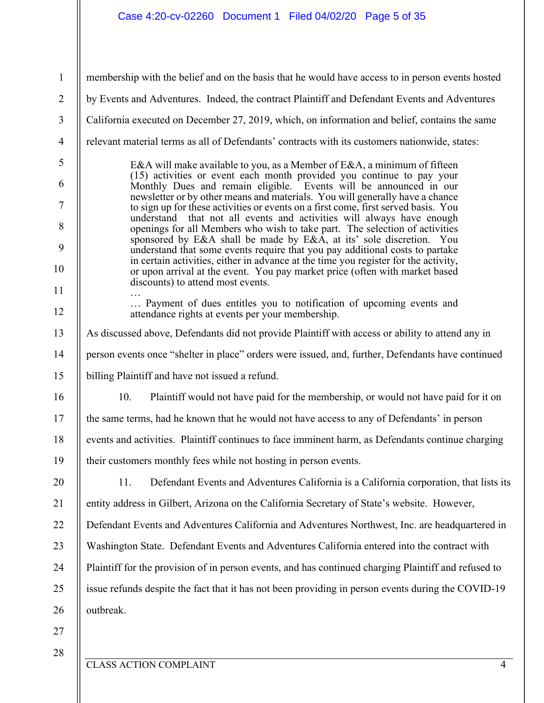1 2 3 4 5 6 7 8 9 10 11 12 13 14 15 16 17 18 19 20 21 22 23 24 25 26 27 28 membership with the belief and on the basis that he would have access to in person events hosted by Events and Adventures. Indeed, the contract Plaintiff and Defendant Events and Adventures California executed on December 27, 2019, which, on information and belief, contains the same relevant material terms as all of Defendants' contracts with its customers nationwide, states: E&A will make available to you, as a Member of E&A, a minimum of fifteen (15) activities or event each month provided you continue to pay your Monthly Dues and remain eligible. Events will be announced in our newsletter or by other means and materials. You will generally have a chance to sign up for these activities or events on a first come, first served basis. You understand that not all events and activities will always have enough openings for all Members who wish to take part. The selection of activities sponsored by E&A shall be made by E&A, at its' sole discretion. You understand that some events require that you pay additional costs to partake in certain activities, either in advance at the time you register for the activity, or upon arrival at the event. You pay market price (often with market based discounts) to attend most events. … … Payment of dues entitles you to notification of upcoming events and attendance rights at events per your membership. As discussed above, Defendants did not provide Plaintiff with access or ability to attend any in person events once "shelter in place" orders were issued, and, further, Defendants have continued billing Plaintiff and have not issued a refund. 10. Plaintiff would not have paid for the membership, or would not have paid for it on the same terms, had he known that he would not have access to any of Defendants' in person events and activities. Plaintiff continues to face imminent harm, as Defendants continue charging their customers monthly fees while not hosting in person events. 11. Defendant Events and Adventures California is a California corporation, that lists its entity address in Gilbert, Arizona on the California Secretary of State's website. However, Defendant Events and Adventures California and Adventures Northwest, Inc. are headquartered in Washington State. Defendant Events and Adventures California entered into the contract with Plaintiff for the provision of in person events, and has continued charging Plaintiff and refused to issue refunds despite the fact that it has not been providing in person events during the COVID-19 outbreak.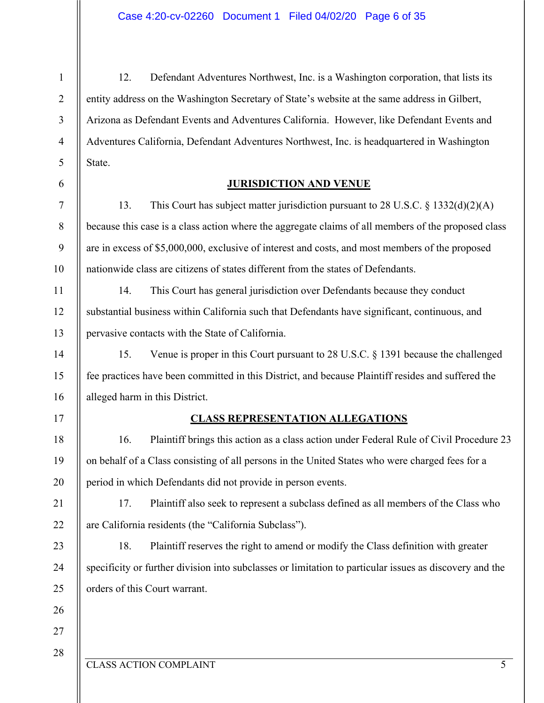12. Defendant Adventures Northwest, Inc. is a Washington corporation, that lists its entity address on the Washington Secretary of State's website at the same address in Gilbert, Arizona as Defendant Events and Adventures California. However, like Defendant Events and Adventures California, Defendant Adventures Northwest, Inc. is headquartered in Washington State.

## **JURISDICTION AND VENUE**

13. This Court has subject matter jurisdiction pursuant to 28 U.S.C. § 1332(d)(2)(A) because this case is a class action where the aggregate claims of all members of the proposed class are in excess of \$5,000,000, exclusive of interest and costs, and most members of the proposed nationwide class are citizens of states different from the states of Defendants.

14. This Court has general jurisdiction over Defendants because they conduct substantial business within California such that Defendants have significant, continuous, and pervasive contacts with the State of California.

15. Venue is proper in this Court pursuant to 28 U.S.C. § 1391 because the challenged fee practices have been committed in this District, and because Plaintiff resides and suffered the alleged harm in this District.

#### 17

18

19

20

21

22

23

24

25

26

1

2

3

4

5

6

7

8

9

10

11

12

13

14

15

16

## **CLASS REPRESENTATION ALLEGATIONS**

16. Plaintiff brings this action as a class action under Federal Rule of Civil Procedure 23 on behalf of a Class consisting of all persons in the United States who were charged fees for a period in which Defendants did not provide in person events.

17. Plaintiff also seek to represent a subclass defined as all members of the Class who are California residents (the "California Subclass").

18. Plaintiff reserves the right to amend or modify the Class definition with greater specificity or further division into subclasses or limitation to particular issues as discovery and the orders of this Court warrant.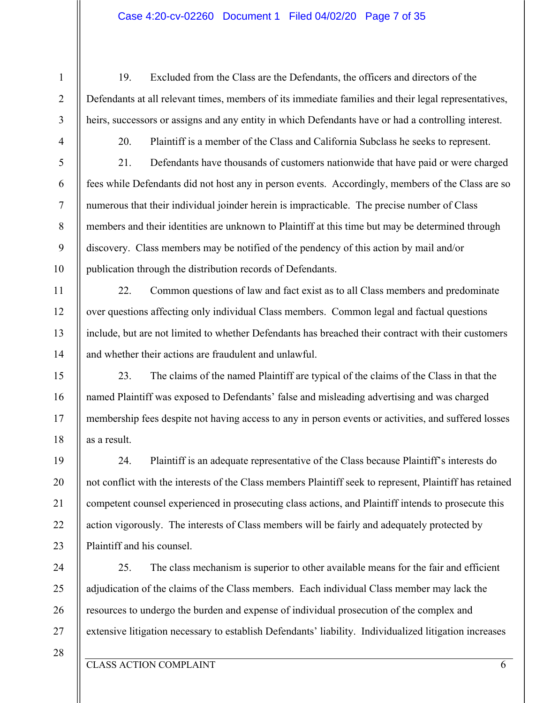#### Case 4:20-cv-02260 Document 1 Filed 04/02/20 Page 7 of 35

5

10

11

12

13

14

15

16

17

18

19

20

21

22

23

1

20. Plaintiff is a member of the Class and California Subclass he seeks to represent.

19. Excluded from the Class are the Defendants, the officers and directors of the

Defendants at all relevant times, members of its immediate families and their legal representatives,

heirs, successors or assigns and any entity in which Defendants have or had a controlling interest.

21. Defendants have thousands of customers nationwide that have paid or were charged fees while Defendants did not host any in person events. Accordingly, members of the Class are so numerous that their individual joinder herein is impracticable. The precise number of Class members and their identities are unknown to Plaintiff at this time but may be determined through discovery. Class members may be notified of the pendency of this action by mail and/or publication through the distribution records of Defendants.

22. Common questions of law and fact exist as to all Class members and predominate over questions affecting only individual Class members. Common legal and factual questions include, but are not limited to whether Defendants has breached their contract with their customers and whether their actions are fraudulent and unlawful.

23. The claims of the named Plaintiff are typical of the claims of the Class in that the named Plaintiff was exposed to Defendants' false and misleading advertising and was charged membership fees despite not having access to any in person events or activities, and suffered losses as a result.

24. Plaintiff is an adequate representative of the Class because Plaintiff's interests do not conflict with the interests of the Class members Plaintiff seek to represent, Plaintiff has retained competent counsel experienced in prosecuting class actions, and Plaintiff intends to prosecute this action vigorously. The interests of Class members will be fairly and adequately protected by Plaintiff and his counsel.

24 25 26 27 25. The class mechanism is superior to other available means for the fair and efficient adjudication of the claims of the Class members. Each individual Class member may lack the resources to undergo the burden and expense of individual prosecution of the complex and extensive litigation necessary to establish Defendants' liability. Individualized litigation increases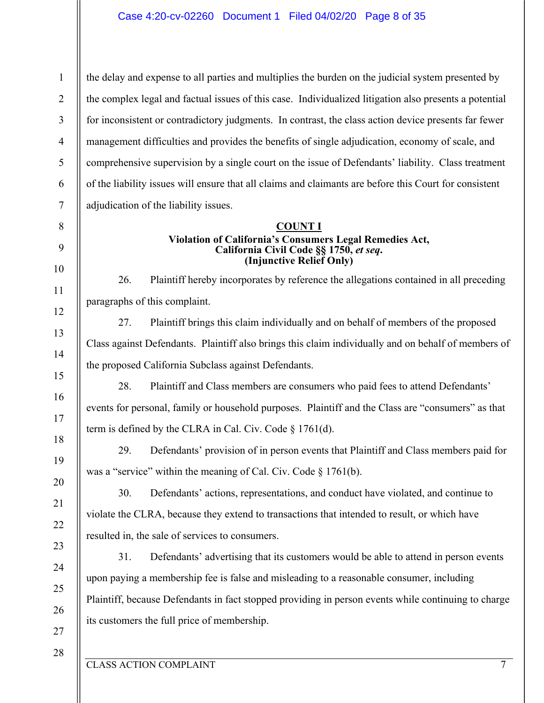1 2 3 4 5 6 7 the delay and expense to all parties and multiplies the burden on the judicial system presented by the complex legal and factual issues of this case. Individualized litigation also presents a potential for inconsistent or contradictory judgments. In contrast, the class action device presents far fewer management difficulties and provides the benefits of single adjudication, economy of scale, and comprehensive supervision by a single court on the issue of Defendants' liability. Class treatment of the liability issues will ensure that all claims and claimants are before this Court for consistent adjudication of the liability issues.

# **COUNT I Violation of California's Consumers Legal Remedies Act, California Civil Code §§ 1750,** *et seq***. (Injunctive Relief Only)**

26. Plaintiff hereby incorporates by reference the allegations contained in all preceding paragraphs of this complaint.

27. Plaintiff brings this claim individually and on behalf of members of the proposed Class against Defendants. Plaintiff also brings this claim individually and on behalf of members of the proposed California Subclass against Defendants.

28. Plaintiff and Class members are consumers who paid fees to attend Defendants' events for personal, family or household purposes. Plaintiff and the Class are "consumers" as that term is defined by the CLRA in Cal. Civ. Code § 1761(d).

29. Defendants' provision of in person events that Plaintiff and Class members paid for was a "service" within the meaning of Cal. Civ. Code § 1761(b).

30. Defendants' actions, representations, and conduct have violated, and continue to violate the CLRA, because they extend to transactions that intended to result, or which have resulted in, the sale of services to consumers.

31. Defendants' advertising that its customers would be able to attend in person events upon paying a membership fee is false and misleading to a reasonable consumer, including Plaintiff, because Defendants in fact stopped providing in person events while continuing to charge its customers the full price of membership.

25 26 27

28

8

9

10

11

12

13

14

15

16

17

18

19

20

21

22

23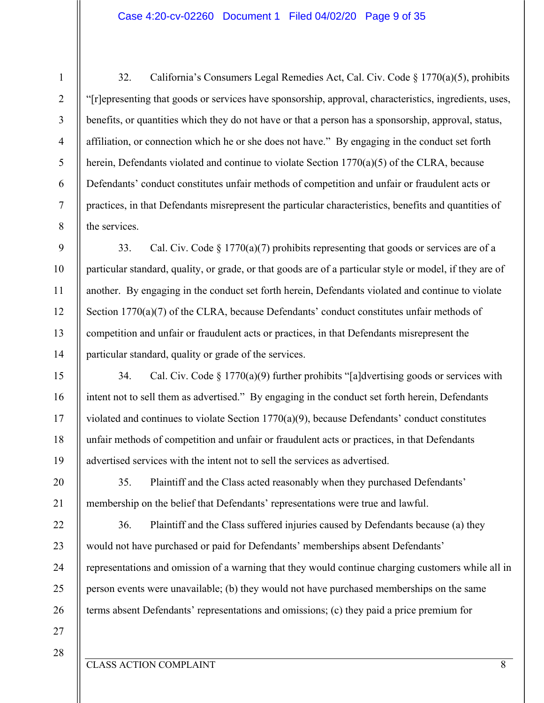32. California's Consumers Legal Remedies Act, Cal. Civ. Code § 1770(a)(5), prohibits "[r]epresenting that goods or services have sponsorship, approval, characteristics, ingredients, uses, benefits, or quantities which they do not have or that a person has a sponsorship, approval, status, affiliation, or connection which he or she does not have." By engaging in the conduct set forth herein, Defendants violated and continue to violate Section 1770(a)(5) of the CLRA, because Defendants' conduct constitutes unfair methods of competition and unfair or fraudulent acts or practices, in that Defendants misrepresent the particular characteristics, benefits and quantities of the services.

33. Cal. Civ. Code  $\S 1770(a)(7)$  prohibits representing that goods or services are of a particular standard, quality, or grade, or that goods are of a particular style or model, if they are of another. By engaging in the conduct set forth herein, Defendants violated and continue to violate Section 1770(a)(7) of the CLRA, because Defendants' conduct constitutes unfair methods of competition and unfair or fraudulent acts or practices, in that Defendants misrepresent the particular standard, quality or grade of the services.

34. Cal. Civ. Code  $\S 1770(a)(9)$  further prohibits "[a]dvertising goods or services with intent not to sell them as advertised." By engaging in the conduct set forth herein, Defendants violated and continues to violate Section 1770(a)(9), because Defendants' conduct constitutes unfair methods of competition and unfair or fraudulent acts or practices, in that Defendants advertised services with the intent not to sell the services as advertised.

35. Plaintiff and the Class acted reasonably when they purchased Defendants' membership on the belief that Defendants' representations were true and lawful.

36. Plaintiff and the Class suffered injuries caused by Defendants because (a) they would not have purchased or paid for Defendants' memberships absent Defendants' representations and omission of a warning that they would continue charging customers while all in person events were unavailable; (b) they would not have purchased memberships on the same terms absent Defendants' representations and omissions; (c) they paid a price premium for

27 28

1

2

3

4

5

6

7

8

9

10

11

12

13

14

15

16

17

18

19

20

21

22

23

24

25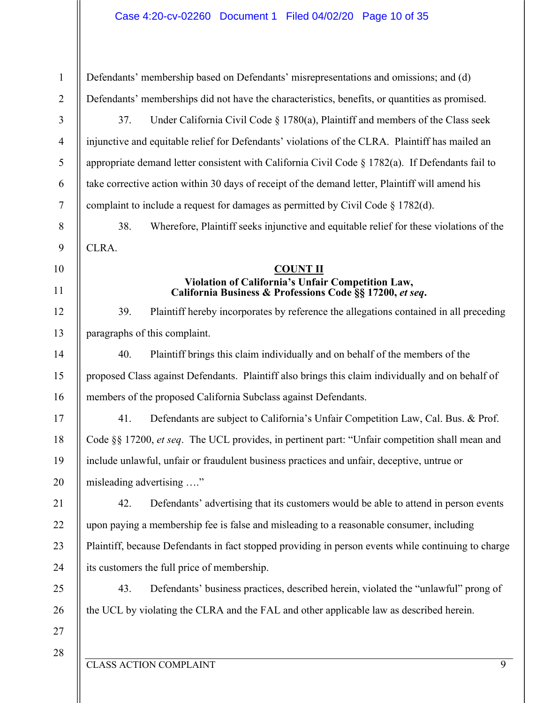| Defendants' membership based on Defendants' misrepresentations and omissions; and (d)          |
|------------------------------------------------------------------------------------------------|
| Defendants' memberships did not have the characteristics, benefits, or quantities as promised. |

37. Under California Civil Code § 1780(a), Plaintiff and members of the Class seek injunctive and equitable relief for Defendants' violations of the CLRA. Plaintiff has mailed an appropriate demand letter consistent with California Civil Code  $\S 1782(a)$ . If Defendants fail to take corrective action within 30 days of receipt of the demand letter, Plaintiff will amend his complaint to include a request for damages as permitted by Civil Code  $\S 1782(d)$ .

38. Wherefore, Plaintiff seeks injunctive and equitable relief for these violations of the CLRA.

#### **COUNT II Violation of California's Unfair Competition Law, California Business & Professions Code §§ 17200,** *et seq***.**

39. Plaintiff hereby incorporates by reference the allegations contained in all preceding paragraphs of this complaint.

40. Plaintiff brings this claim individually and on behalf of the members of the proposed Class against Defendants. Plaintiff also brings this claim individually and on behalf of members of the proposed California Subclass against Defendants.

41. Defendants are subject to California's Unfair Competition Law, Cal. Bus. & Prof. Code §§ 17200, *et seq*. The UCL provides, in pertinent part: "Unfair competition shall mean and include unlawful, unfair or fraudulent business practices and unfair, deceptive, untrue or misleading advertising …."

42. Defendants' advertising that its customers would be able to attend in person events upon paying a membership fee is false and misleading to a reasonable consumer, including Plaintiff, because Defendants in fact stopped providing in person events while continuing to charge its customers the full price of membership.

43. Defendants' business practices, described herein, violated the "unlawful" prong of the UCL by violating the CLRA and the FAL and other applicable law as described herein.

27 28

1

2

3

4

5

6

7

8

9

10

11

12

13

14

15

16

17

18

19

20

21

22

23

24

25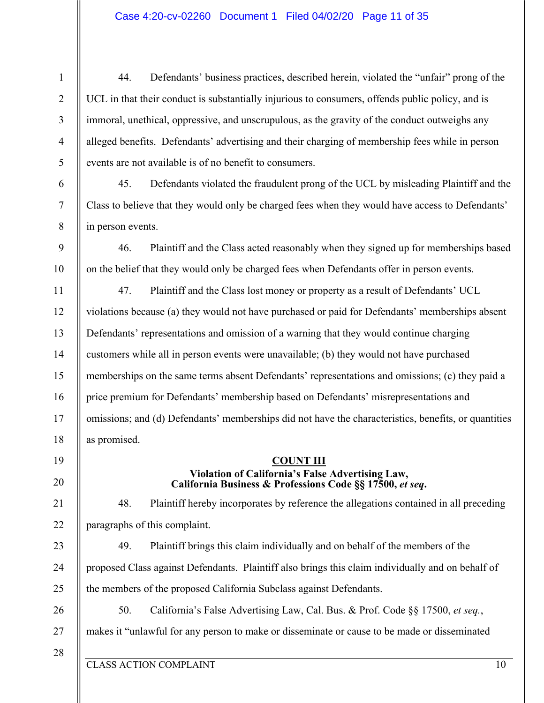44. Defendants' business practices, described herein, violated the "unfair" prong of the UCL in that their conduct is substantially injurious to consumers, offends public policy, and is immoral, unethical, oppressive, and unscrupulous, as the gravity of the conduct outweighs any alleged benefits. Defendants' advertising and their charging of membership fees while in person events are not available is of no benefit to consumers.

45. Defendants violated the fraudulent prong of the UCL by misleading Plaintiff and the Class to believe that they would only be charged fees when they would have access to Defendants' in person events.

46. Plaintiff and the Class acted reasonably when they signed up for memberships based on the belief that they would only be charged fees when Defendants offer in person events.

12 13 14 15 16 17 18 47. Plaintiff and the Class lost money or property as a result of Defendants' UCL violations because (a) they would not have purchased or paid for Defendants' memberships absent Defendants' representations and omission of a warning that they would continue charging customers while all in person events were unavailable; (b) they would not have purchased memberships on the same terms absent Defendants' representations and omissions; (c) they paid a price premium for Defendants' membership based on Defendants' misrepresentations and omissions; and (d) Defendants' memberships did not have the characteristics, benefits, or quantities as promised.

## **COUNT III Violation of California's False Advertising Law, California Business & Professions Code §§ 17500,** *et seq***.**

48. Plaintiff hereby incorporates by reference the allegations contained in all preceding paragraphs of this complaint.

49. Plaintiff brings this claim individually and on behalf of the members of the proposed Class against Defendants. Plaintiff also brings this claim individually and on behalf of the members of the proposed California Subclass against Defendants.

26 27

19

20

21

22

23

24

25

1

2

3

4

5

6

7

8

9

10

11

50. California's False Advertising Law, Cal. Bus. & Prof. Code §§ 17500, *et seq.*,

makes it "unlawful for any person to make or disseminate or cause to be made or disseminated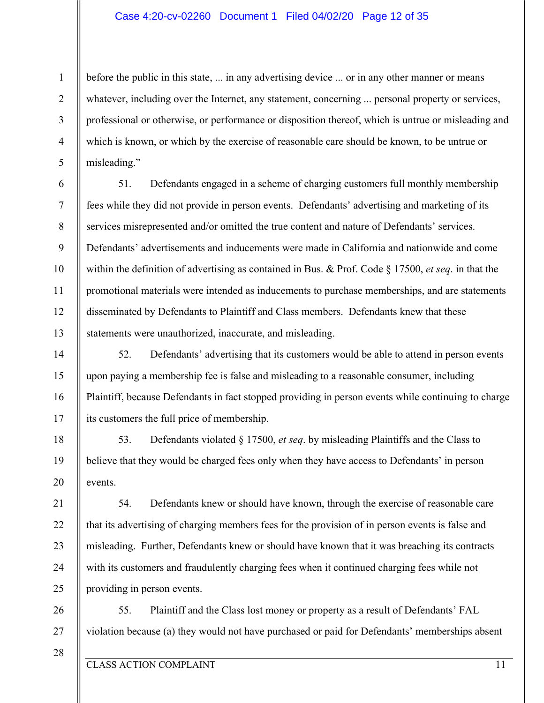#### Case 4:20-cv-02260 Document 1 Filed 04/02/20 Page 12 of 35

before the public in this state, ... in any advertising device ... or in any other manner or means whatever, including over the Internet, any statement, concerning ... personal property or services, professional or otherwise, or performance or disposition thereof, which is untrue or misleading and which is known, or which by the exercise of reasonable care should be known, to be untrue or misleading."

51. Defendants engaged in a scheme of charging customers full monthly membership fees while they did not provide in person events. Defendants' advertising and marketing of its services misrepresented and/or omitted the true content and nature of Defendants' services. Defendants' advertisements and inducements were made in California and nationwide and come within the definition of advertising as contained in Bus. & Prof. Code § 17500, *et seq*. in that the promotional materials were intended as inducements to purchase memberships, and are statements disseminated by Defendants to Plaintiff and Class members. Defendants knew that these statements were unauthorized, inaccurate, and misleading.

52. Defendants' advertising that its customers would be able to attend in person events upon paying a membership fee is false and misleading to a reasonable consumer, including Plaintiff, because Defendants in fact stopped providing in person events while continuing to charge its customers the full price of membership.

53. Defendants violated § 17500, *et seq*. by misleading Plaintiffs and the Class to believe that they would be charged fees only when they have access to Defendants' in person events.

54. Defendants knew or should have known, through the exercise of reasonable care that its advertising of charging members fees for the provision of in person events is false and misleading. Further, Defendants knew or should have known that it was breaching its contracts with its customers and fraudulently charging fees when it continued charging fees while not providing in person events.

26 27 55. Plaintiff and the Class lost money or property as a result of Defendants' FAL violation because (a) they would not have purchased or paid for Defendants' memberships absent

1

2

3

4

5

6

7

8

9

10

11

12

13

14

15

16

17

18

19

20

21

22

23

24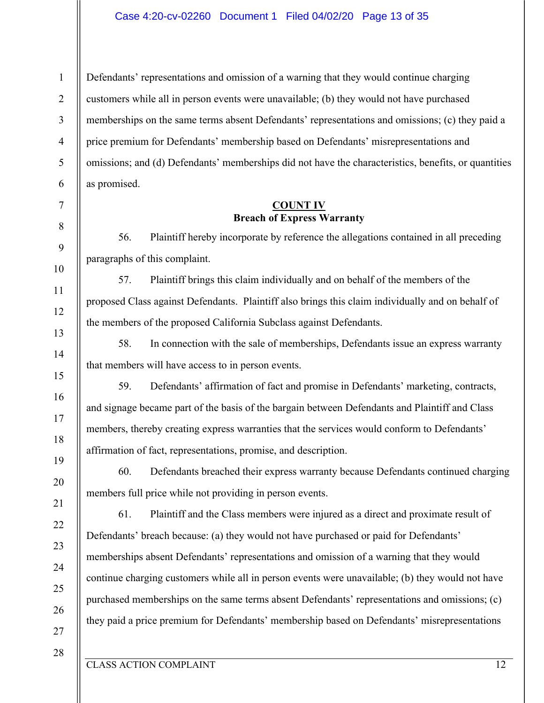Defendants' representations and omission of a warning that they would continue charging customers while all in person events were unavailable; (b) they would not have purchased memberships on the same terms absent Defendants' representations and omissions; (c) they paid a price premium for Defendants' membership based on Defendants' misrepresentations and omissions; and (d) Defendants' memberships did not have the characteristics, benefits, or quantities as promised.

## **COUNT IV Breach of Express Warranty**

56. Plaintiff hereby incorporate by reference the allegations contained in all preceding paragraphs of this complaint.

57. Plaintiff brings this claim individually and on behalf of the members of the proposed Class against Defendants. Plaintiff also brings this claim individually and on behalf of the members of the proposed California Subclass against Defendants.

58. In connection with the sale of memberships, Defendants issue an express warranty that members will have access to in person events.

59. Defendants' affirmation of fact and promise in Defendants' marketing, contracts, and signage became part of the basis of the bargain between Defendants and Plaintiff and Class members, thereby creating express warranties that the services would conform to Defendants' affirmation of fact, representations, promise, and description.

60. Defendants breached their express warranty because Defendants continued charging members full price while not providing in person events.

61. Plaintiff and the Class members were injured as a direct and proximate result of Defendants' breach because: (a) they would not have purchased or paid for Defendants' memberships absent Defendants' representations and omission of a warning that they would continue charging customers while all in person events were unavailable; (b) they would not have purchased memberships on the same terms absent Defendants' representations and omissions; (c) they paid a price premium for Defendants' membership based on Defendants' misrepresentations

1

2

3

4

5

6

7

8

9

10

11

12

13

14

15

16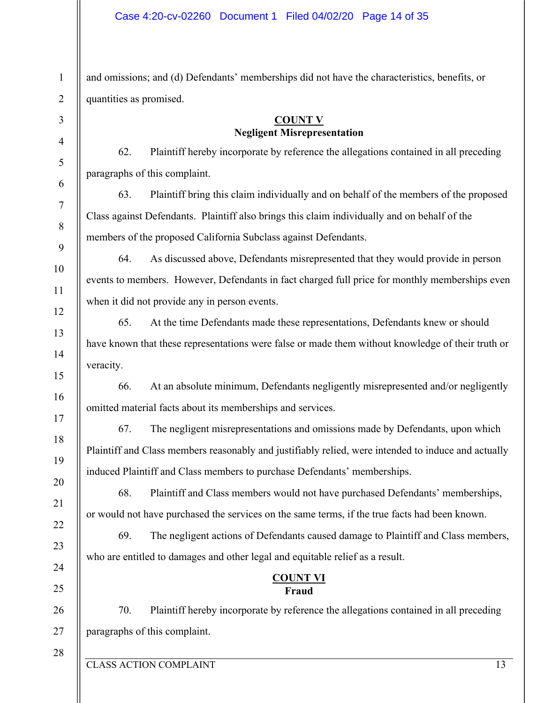and omissions; and (d) Defendants' memberships did not have the characteristics, benefits, or quantities as promised.

## **COUNT V Negligent Misrepresentation**

62. Plaintiff hereby incorporate by reference the allegations contained in all preceding paragraphs of this complaint.

63. Plaintiff bring this claim individually and on behalf of the members of the proposed Class against Defendants. Plaintiff also brings this claim individually and on behalf of the members of the proposed California Subclass against Defendants.

64. As discussed above, Defendants misrepresented that they would provide in person events to members. However, Defendants in fact charged full price for monthly memberships even when it did not provide any in person events.

65. At the time Defendants made these representations, Defendants knew or should have known that these representations were false or made them without knowledge of their truth or veracity.

66. At an absolute minimum, Defendants negligently misrepresented and/or negligently omitted material facts about its memberships and services.

67. The negligent misrepresentations and omissions made by Defendants, upon which Plaintiff and Class members reasonably and justifiably relied, were intended to induce and actually induced Plaintiff and Class members to purchase Defendants' memberships.

68. Plaintiff and Class members would not have purchased Defendants' memberships, or would not have purchased the services on the same terms, if the true facts had been known.

69. The negligent actions of Defendants caused damage to Plaintiff and Class members, who are entitled to damages and other legal and equitable relief as a result.

## **COUNT VI Fraud**

70. Plaintiff hereby incorporate by reference the allegations contained in all preceding paragraphs of this complaint.

CLASS ACTION COMPLAINT 13

1

2

3

4

5

6

7

8

9

11

12

13

14

15

16

17

18

19

20

21

22

23

24

25

26

27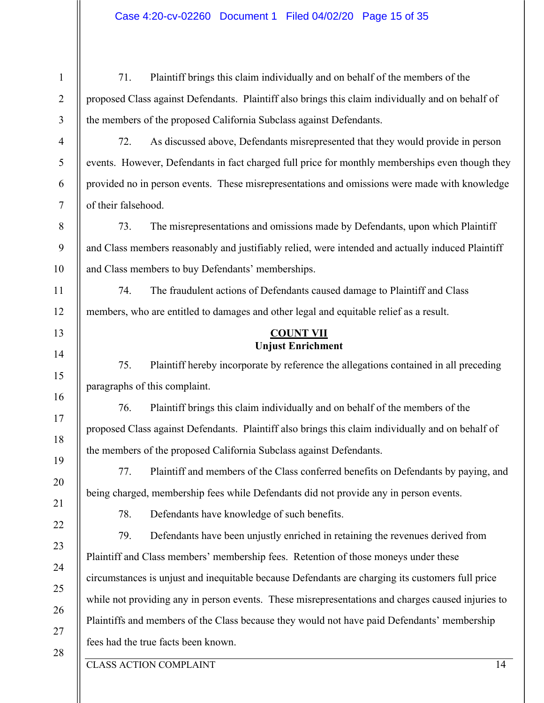| 71.                                                                                               | Plaintiff brings this claim individually and on behalf of the members of the                      |  |  |
|---------------------------------------------------------------------------------------------------|---------------------------------------------------------------------------------------------------|--|--|
| proposed Class against Defendants. Plaintiff also brings this claim individually and on behalf of |                                                                                                   |  |  |
| the members of the proposed California Subclass against Defendants.                               |                                                                                                   |  |  |
| 72.                                                                                               | As discussed above, Defendants misrepresented that they would provide in person                   |  |  |
|                                                                                                   | events. However, Defendants in fact charged full price for monthly memberships even though they   |  |  |
| provided no in person events. These misrepresentations and omissions were made with knowledge     |                                                                                                   |  |  |
| of their falsehood.                                                                               |                                                                                                   |  |  |
| 73.                                                                                               | The misrepresentations and omissions made by Defendants, upon which Plaintiff                     |  |  |
|                                                                                                   | and Class members reasonably and justifiably relied, were intended and actually induced Plaintiff |  |  |
| and Class members to buy Defendants' memberships.                                                 |                                                                                                   |  |  |
| 74.                                                                                               | The fraudulent actions of Defendants caused damage to Plaintiff and Class                         |  |  |
|                                                                                                   | members, who are entitled to damages and other legal and equitable relief as a result.            |  |  |
| <b>COUNT VII</b><br><b>Unjust Enrichment</b>                                                      |                                                                                                   |  |  |
| 75.                                                                                               | Plaintiff hereby incorporate by reference the allegations contained in all preceding              |  |  |
| paragraphs of this complaint.                                                                     |                                                                                                   |  |  |
| 76.                                                                                               | Plaintiff brings this claim individually and on behalf of the members of the                      |  |  |
| proposed Class against Defendants. Plaintiff also brings this claim individually and on behalf of |                                                                                                   |  |  |
| the members of the proposed California Subclass against Defendants.                               |                                                                                                   |  |  |
| 77.                                                                                               | Plaintiff and members of the Class conferred benefits on Defendants by paying, and                |  |  |
|                                                                                                   | being charged, membership fees while Defendants did not provide any in person events.             |  |  |
| 78.                                                                                               | Defendants have knowledge of such benefits.                                                       |  |  |
| 79.                                                                                               | Defendants have been unjustly enriched in retaining the revenues derived from                     |  |  |
|                                                                                                   | Plaintiff and Class members' membership fees. Retention of those moneys under these               |  |  |
| circumstances is unjust and inequitable because Defendants are charging its customers full price  |                                                                                                   |  |  |
| while not providing any in person events. These misrepresentations and charges caused injuries to |                                                                                                   |  |  |
| Plaintiffs and members of the Class because they would not have paid Defendants' membership       |                                                                                                   |  |  |
| fees had the true facts been known.                                                               |                                                                                                   |  |  |
|                                                                                                   | <b>CLASS ACTION COMPLAINT</b><br>14                                                               |  |  |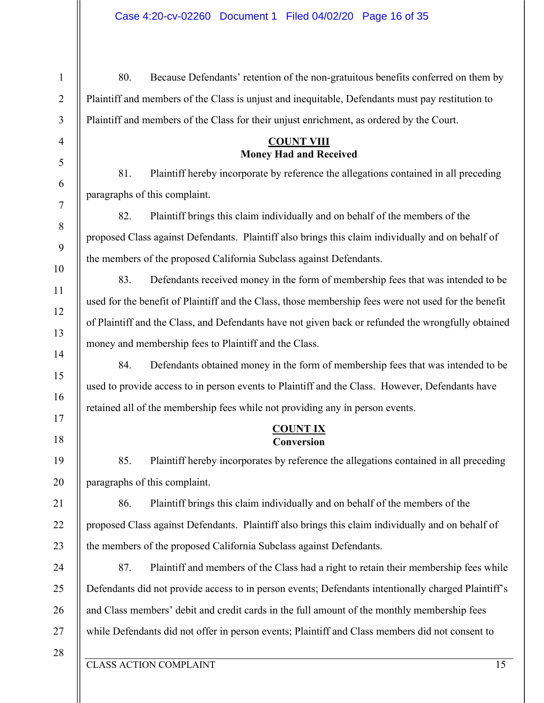CLASS ACTION COMPLAINT 15 1 2 3 4 5 6 7 8 9 10 11 12 13 14 15 16 17 18 19 20 21 22 23 24 25 26 27 28 80. Because Defendants' retention of the non-gratuitous benefits conferred on them by Plaintiff and members of the Class is unjust and inequitable, Defendants must pay restitution to Plaintiff and members of the Class for their unjust enrichment, as ordered by the Court. **COUNT VIII Money Had and Received** 81. Plaintiff hereby incorporate by reference the allegations contained in all preceding paragraphs of this complaint. 82. Plaintiff brings this claim individually and on behalf of the members of the proposed Class against Defendants. Plaintiff also brings this claim individually and on behalf of the members of the proposed California Subclass against Defendants. 83. Defendants received money in the form of membership fees that was intended to be used for the benefit of Plaintiff and the Class, those membership fees were not used for the benefit of Plaintiff and the Class, and Defendants have not given back or refunded the wrongfully obtained money and membership fees to Plaintiff and the Class. 84. Defendants obtained money in the form of membership fees that was intended to be used to provide access to in person events to Plaintiff and the Class. However, Defendants have retained all of the membership fees while not providing any in person events. **COUNT IX Conversion** 85. Plaintiff hereby incorporates by reference the allegations contained in all preceding paragraphs of this complaint. 86. Plaintiff brings this claim individually and on behalf of the members of the proposed Class against Defendants. Plaintiff also brings this claim individually and on behalf of the members of the proposed California Subclass against Defendants. 87. Plaintiff and members of the Class had a right to retain their membership fees while Defendants did not provide access to in person events; Defendants intentionally charged Plaintiff's and Class members' debit and credit cards in the full amount of the monthly membership fees while Defendants did not offer in person events; Plaintiff and Class members did not consent to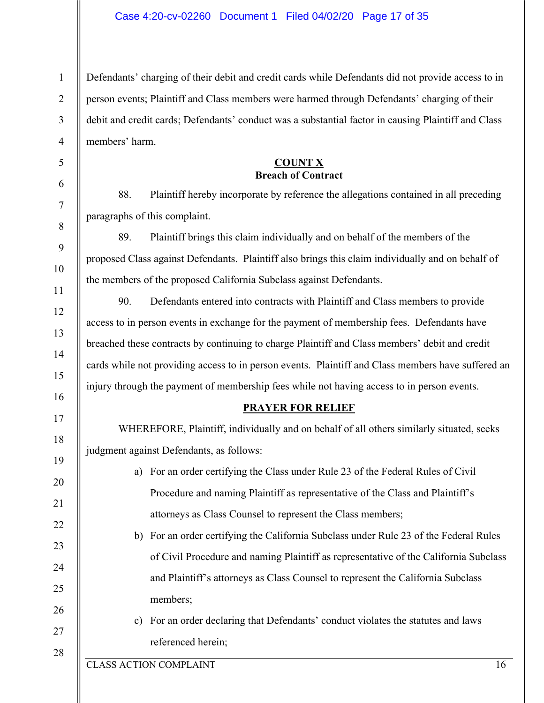Defendants' charging of their debit and credit cards while Defendants did not provide access to in person events; Plaintiff and Class members were harmed through Defendants' charging of their debit and credit cards; Defendants' conduct was a substantial factor in causing Plaintiff and Class members' harm.

## **COUNT X Breach of Contract**

88. Plaintiff hereby incorporate by reference the allegations contained in all preceding paragraphs of this complaint.

89. Plaintiff brings this claim individually and on behalf of the members of the proposed Class against Defendants. Plaintiff also brings this claim individually and on behalf of the members of the proposed California Subclass against Defendants.

90. Defendants entered into contracts with Plaintiff and Class members to provide access to in person events in exchange for the payment of membership fees. Defendants have breached these contracts by continuing to charge Plaintiff and Class members' debit and credit cards while not providing access to in person events. Plaintiff and Class members have suffered an injury through the payment of membership fees while not having access to in person events.

## **PRAYER FOR RELIEF**

WHEREFORE, Plaintiff, individually and on behalf of all others similarly situated, seeks judgment against Defendants, as follows:

- a) For an order certifying the Class under Rule 23 of the Federal Rules of Civil Procedure and naming Plaintiff as representative of the Class and Plaintiff's attorneys as Class Counsel to represent the Class members;
- b) For an order certifying the California Subclass under Rule 23 of the Federal Rules of Civil Procedure and naming Plaintiff as representative of the California Subclass and Plaintiff's attorneys as Class Counsel to represent the California Subclass members;
	- c) For an order declaring that Defendants' conduct violates the statutes and laws referenced herein;

1

2

3

4

5

6

7

8

9

10

11

12

13

14

15

16

17

18

19

20

21

22

23

24

25

26

27